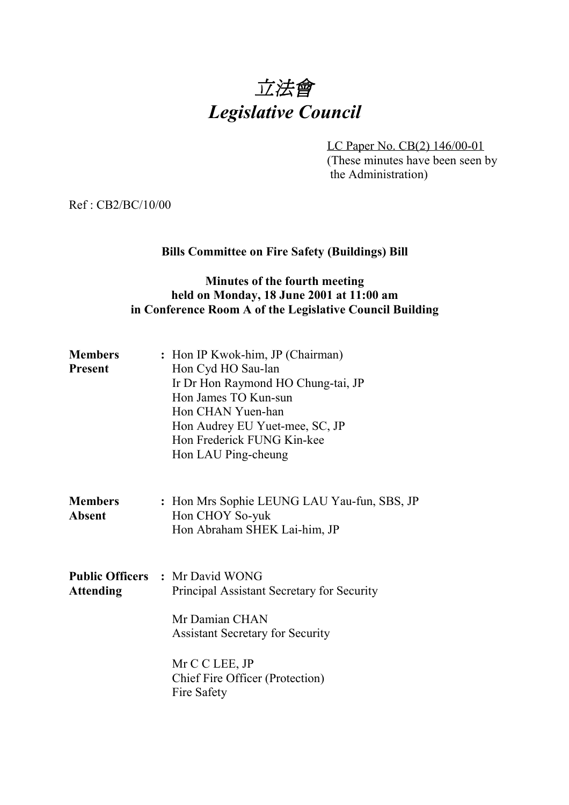

LC Paper No. CB(2) 146/00-01 (These minutes have been seen by the Administration)

Ref : CB2/BC/10/00

# **Bills Committee on Fire Safety (Buildings) Bill**

## **Minutes of the fourth meeting held on Monday, 18 June 2001 at 11:00 am in Conference Room A of the Legislative Council Building**

| <b>Members</b><br><b>Present</b> | : Hon IP Kwok-him, JP (Chairman)<br>Hon Cyd HO Sau-lan<br>Ir Dr Hon Raymond HO Chung-tai, JP<br>Hon James TO Kun-sun<br>Hon CHAN Yuen-han<br>Hon Audrey EU Yuet-mee, SC, JP<br>Hon Frederick FUNG Kin-kee<br>Hon LAU Ping-cheung |
|----------------------------------|----------------------------------------------------------------------------------------------------------------------------------------------------------------------------------------------------------------------------------|
| <b>Members</b><br><b>Absent</b>  | : Hon Mrs Sophie LEUNG LAU Yau-fun, SBS, JP<br>Hon CHOY So-yuk<br>Hon Abraham SHEK Lai-him, JP                                                                                                                                   |
| <b>Attending</b>                 | <b>Public Officers : Mr David WONG</b><br>Principal Assistant Secretary for Security<br>Mr Damian CHAN<br><b>Assistant Secretary for Security</b><br>Mr C C LEE, JP<br>Chief Fire Officer (Protection)<br>Fire Safety            |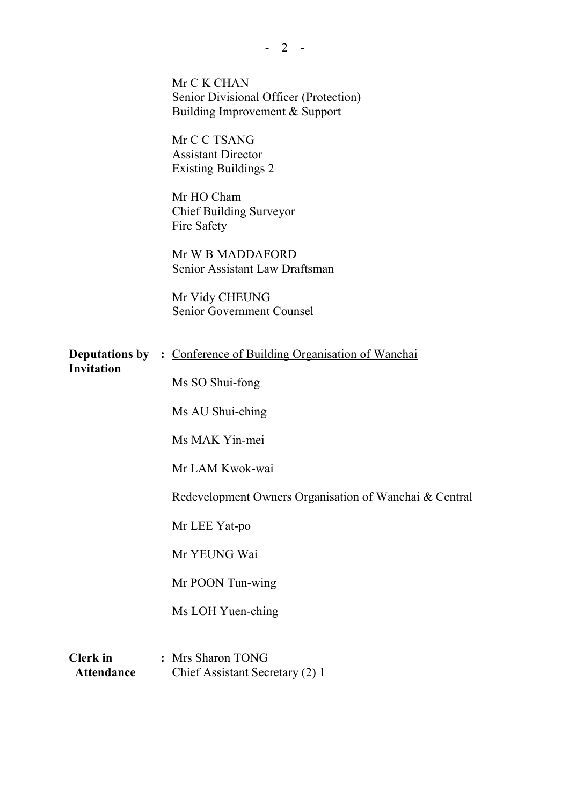|                                      | Mr C K CHAN<br>Senior Divisional Officer (Protection)<br>Building Improvement & Support |
|--------------------------------------|-----------------------------------------------------------------------------------------|
|                                      | Mr C C TSANG<br><b>Assistant Director</b><br><b>Existing Buildings 2</b>                |
|                                      | Mr HO Cham<br><b>Chief Building Surveyor</b><br>Fire Safety                             |
|                                      | Mr W B MADDAFORD<br>Senior Assistant Law Draftsman                                      |
|                                      | Mr Vidy CHEUNG<br>Senior Government Counsel                                             |
| <b>Invitation</b>                    | <b>Deputations by : Conference of Building Organisation of Wanchai</b>                  |
|                                      | Ms SO Shui-fong<br>Ms AU Shui-ching                                                     |
|                                      | Ms MAK Yin-mei                                                                          |
|                                      | Mr LAM Kwok-wai                                                                         |
|                                      | Redevelopment Owners Organisation of Wanchai & Central                                  |
|                                      | Mr LEE Yat-po                                                                           |
|                                      | Mr YEUNG Wai                                                                            |
|                                      | Mr POON Tun-wing                                                                        |
|                                      | Ms LOH Yuen-ching                                                                       |
| <b>Clerk</b> in<br><b>Attendance</b> | : Mrs Sharon TONG<br>Chief Assistant Secretary (2) 1                                    |

 $- 2 -$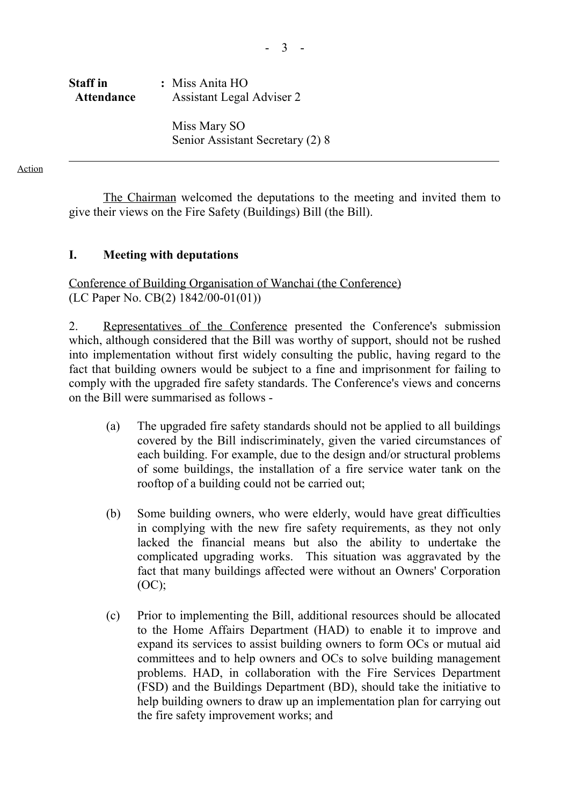# **Staff in :** Miss Anita HO  **Attendance** Assistant Legal Adviser 2

Miss Mary SO Senior Assistant Secretary (2) 8

Action

The Chairman welcomed the deputations to the meeting and invited them to give their views on the Fire Safety (Buildings) Bill (the Bill).

## **I. Meeting with deputations**

Conference of Building Organisation of Wanchai (the Conference) (LC Paper No. CB(2) 1842/00-01(01))

2. Representatives of the Conference presented the Conference's submission which, although considered that the Bill was worthy of support, should not be rushed into implementation without first widely consulting the public, having regard to the fact that building owners would be subject to a fine and imprisonment for failing to comply with the upgraded fire safety standards. The Conference's views and concerns on the Bill were summarised as follows -

- (a) The upgraded fire safety standards should not be applied to all buildings covered by the Bill indiscriminately, given the varied circumstances of each building. For example, due to the design and/or structural problems of some buildings, the installation of a fire service water tank on the rooftop of a building could not be carried out;
- (b) Some building owners, who were elderly, would have great difficulties in complying with the new fire safety requirements, as they not only lacked the financial means but also the ability to undertake the complicated upgrading works. This situation was aggravated by the fact that many buildings affected were without an Owners' Corporation (OC);
- (c) Prior to implementing the Bill, additional resources should be allocated to the Home Affairs Department (HAD) to enable it to improve and expand its services to assist building owners to form OCs or mutual aid committees and to help owners and OCs to solve building management problems. HAD, in collaboration with the Fire Services Department (FSD) and the Buildings Department (BD), should take the initiative to help building owners to draw up an implementation plan for carrying out the fire safety improvement works; and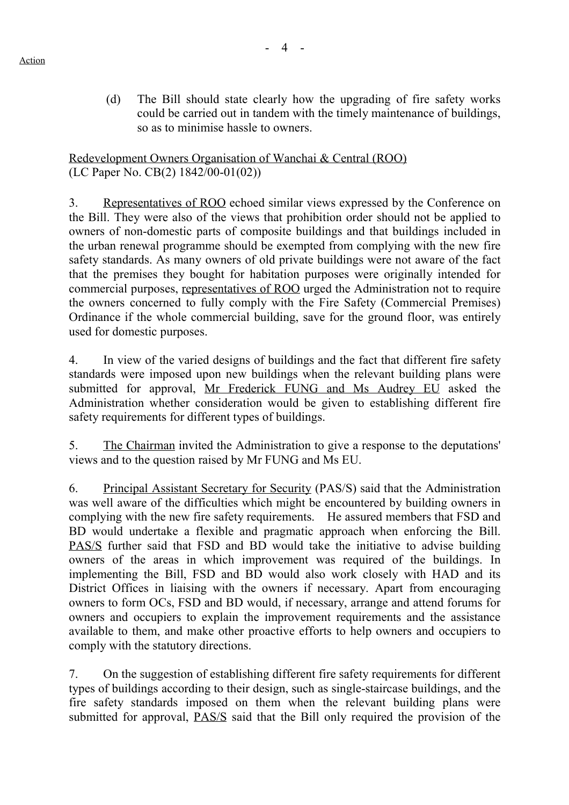(d) The Bill should state clearly how the upgrading of fire safety works could be carried out in tandem with the timely maintenance of buildings, so as to minimise hassle to owners.

Redevelopment Owners Organisation of Wanchai & Central (ROO) (LC Paper No. CB(2) 1842/00-01(02))

3. Representatives of ROO echoed similar views expressed by the Conference on the Bill. They were also of the views that prohibition order should not be applied to owners of non-domestic parts of composite buildings and that buildings included in the urban renewal programme should be exempted from complying with the new fire safety standards. As many owners of old private buildings were not aware of the fact that the premises they bought for habitation purposes were originally intended for commercial purposes, representatives of ROO urged the Administration not to require the owners concerned to fully comply with the Fire Safety (Commercial Premises) Ordinance if the whole commercial building, save for the ground floor, was entirely used for domestic purposes.

4. In view of the varied designs of buildings and the fact that different fire safety standards were imposed upon new buildings when the relevant building plans were submitted for approval, Mr Frederick FUNG and Ms Audrey EU asked the Administration whether consideration would be given to establishing different fire safety requirements for different types of buildings.

5. The Chairman invited the Administration to give a response to the deputations' views and to the question raised by Mr FUNG and Ms EU.

6. Principal Assistant Secretary for Security (PAS/S) said that the Administration was well aware of the difficulties which might be encountered by building owners in complying with the new fire safety requirements. He assured members that FSD and BD would undertake a flexible and pragmatic approach when enforcing the Bill. PAS/S further said that FSD and BD would take the initiative to advise building owners of the areas in which improvement was required of the buildings. In implementing the Bill, FSD and BD would also work closely with HAD and its District Offices in liaising with the owners if necessary. Apart from encouraging owners to form OCs, FSD and BD would, if necessary, arrange and attend forums for owners and occupiers to explain the improvement requirements and the assistance available to them, and make other proactive efforts to help owners and occupiers to comply with the statutory directions.

7. On the suggestion of establishing different fire safety requirements for different types of buildings according to their design, such as single-staircase buildings, and the fire safety standards imposed on them when the relevant building plans were submitted for approval, PAS/S said that the Bill only required the provision of the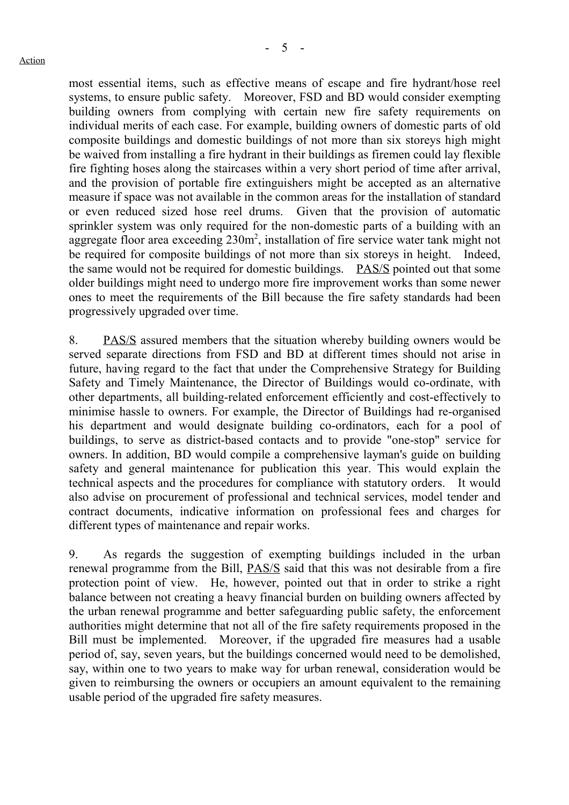most essential items, such as effective means of escape and fire hydrant/hose reel systems, to ensure public safety. Moreover, FSD and BD would consider exempting building owners from complying with certain new fire safety requirements on individual merits of each case. For example, building owners of domestic parts of old composite buildings and domestic buildings of not more than six storeys high might be waived from installing a fire hydrant in their buildings as firemen could lay flexible fire fighting hoses along the staircases within a very short period of time after arrival, and the provision of portable fire extinguishers might be accepted as an alternative measure if space was not available in the common areas for the installation of standard or even reduced sized hose reel drums. Given that the provision of automatic sprinkler system was only required for the non-domestic parts of a building with an aggregate floor area exceeding  $230m^2$ , installation of fire service water tank might not be required for composite buildings of not more than six storeys in height. Indeed, the same would not be required for domestic buildings. PAS/S pointed out that some older buildings might need to undergo more fire improvement works than some newer ones to meet the requirements of the Bill because the fire safety standards had been progressively upgraded over time.

8. PAS/S assured members that the situation whereby building owners would be served separate directions from FSD and BD at different times should not arise in future, having regard to the fact that under the Comprehensive Strategy for Building Safety and Timely Maintenance, the Director of Buildings would co-ordinate, with other departments, all building-related enforcement efficiently and cost-effectively to minimise hassle to owners. For example, the Director of Buildings had re-organised his department and would designate building co-ordinators, each for a pool of buildings, to serve as district-based contacts and to provide "one-stop" service for owners. In addition, BD would compile a comprehensive layman's guide on building safety and general maintenance for publication this year. This would explain the technical aspects and the procedures for compliance with statutory orders. It would also advise on procurement of professional and technical services, model tender and contract documents, indicative information on professional fees and charges for different types of maintenance and repair works.

9. As regards the suggestion of exempting buildings included in the urban renewal programme from the Bill, PAS/S said that this was not desirable from a fire protection point of view. He, however, pointed out that in order to strike a right balance between not creating a heavy financial burden on building owners affected by the urban renewal programme and better safeguarding public safety, the enforcement authorities might determine that not all of the fire safety requirements proposed in the Bill must be implemented. Moreover, if the upgraded fire measures had a usable period of, say, seven years, but the buildings concerned would need to be demolished, say, within one to two years to make way for urban renewal, consideration would be given to reimbursing the owners or occupiers an amount equivalent to the remaining usable period of the upgraded fire safety measures.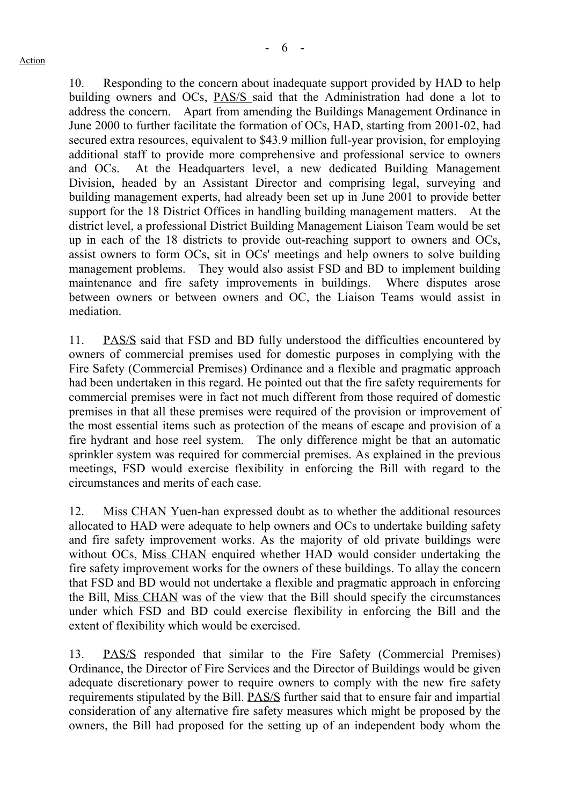10. Responding to the concern about inadequate support provided by HAD to help building owners and OCs, PAS/S said that the Administration had done a lot to address the concern. Apart from amending the Buildings Management Ordinance in June 2000 to further facilitate the formation of OCs, HAD, starting from 2001-02, had secured extra resources, equivalent to \$43.9 million full-year provision, for employing additional staff to provide more comprehensive and professional service to owners and OCs. At the Headquarters level, a new dedicated Building Management Division, headed by an Assistant Director and comprising legal, surveying and building management experts, had already been set up in June 2001 to provide better support for the 18 District Offices in handling building management matters. At the district level, a professional District Building Management Liaison Team would be set up in each of the 18 districts to provide out-reaching support to owners and OCs, assist owners to form OCs, sit in OCs' meetings and help owners to solve building management problems. They would also assist FSD and BD to implement building maintenance and fire safety improvements in buildings. Where disputes arose between owners or between owners and OC, the Liaison Teams would assist in mediation.

11. PAS/S said that FSD and BD fully understood the difficulties encountered by owners of commercial premises used for domestic purposes in complying with the Fire Safety (Commercial Premises) Ordinance and a flexible and pragmatic approach had been undertaken in this regard. He pointed out that the fire safety requirements for commercial premises were in fact not much different from those required of domestic premises in that all these premises were required of the provision or improvement of the most essential items such as protection of the means of escape and provision of a fire hydrant and hose reel system. The only difference might be that an automatic sprinkler system was required for commercial premises. As explained in the previous meetings, FSD would exercise flexibility in enforcing the Bill with regard to the circumstances and merits of each case.

12. Miss CHAN Yuen-han expressed doubt as to whether the additional resources allocated to HAD were adequate to help owners and OCs to undertake building safety and fire safety improvement works. As the majority of old private buildings were without OCs, Miss CHAN enquired whether HAD would consider undertaking the fire safety improvement works for the owners of these buildings. To allay the concern that FSD and BD would not undertake a flexible and pragmatic approach in enforcing the Bill, Miss CHAN was of the view that the Bill should specify the circumstances under which FSD and BD could exercise flexibility in enforcing the Bill and the extent of flexibility which would be exercised.

13. PAS/S responded that similar to the Fire Safety (Commercial Premises) Ordinance, the Director of Fire Services and the Director of Buildings would be given adequate discretionary power to require owners to comply with the new fire safety requirements stipulated by the Bill. PAS/S further said that to ensure fair and impartial consideration of any alternative fire safety measures which might be proposed by the owners, the Bill had proposed for the setting up of an independent body whom the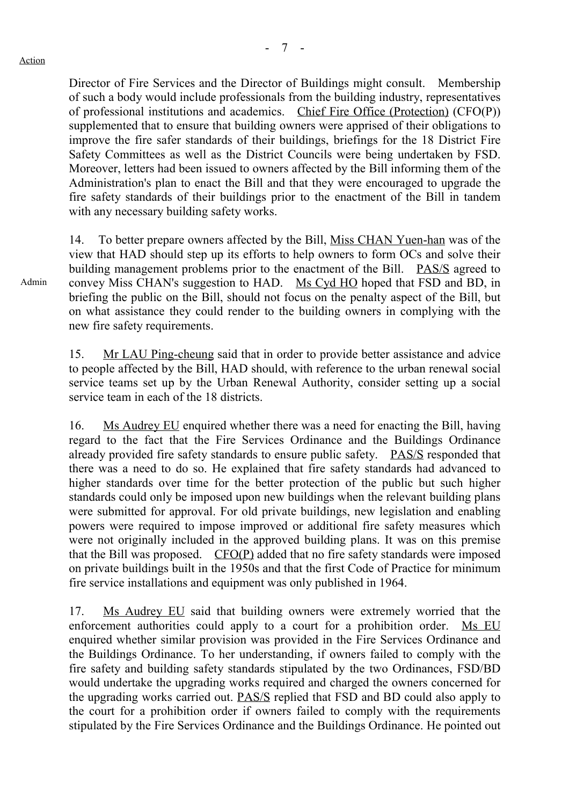Admin

Director of Fire Services and the Director of Buildings might consult. Membership of such a body would include professionals from the building industry, representatives of professional institutions and academics. Chief Fire Office (Protection) (CFO(P)) supplemented that to ensure that building owners were apprised of their obligations to improve the fire safer standards of their buildings, briefings for the 18 District Fire Safety Committees as well as the District Councils were being undertaken by FSD. Moreover, letters had been issued to owners affected by the Bill informing them of the Administration's plan to enact the Bill and that they were encouraged to upgrade the fire safety standards of their buildings prior to the enactment of the Bill in tandem with any necessary building safety works.

14. To better prepare owners affected by the Bill, Miss CHAN Yuen-han was of the view that HAD should step up its efforts to help owners to form OCs and solve their building management problems prior to the enactment of the Bill. PAS/S agreed to convey Miss CHAN's suggestion to HAD. Ms Cyd HO hoped that FSD and BD, in briefing the public on the Bill, should not focus on the penalty aspect of the Bill, but on what assistance they could render to the building owners in complying with the new fire safety requirements.

15. Mr LAU Ping-cheung said that in order to provide better assistance and advice to people affected by the Bill, HAD should, with reference to the urban renewal social service teams set up by the Urban Renewal Authority, consider setting up a social service team in each of the 18 districts.

16. Ms Audrey EU enquired whether there was a need for enacting the Bill, having regard to the fact that the Fire Services Ordinance and the Buildings Ordinance already provided fire safety standards to ensure public safety. PAS/S responded that there was a need to do so. He explained that fire safety standards had advanced to higher standards over time for the better protection of the public but such higher standards could only be imposed upon new buildings when the relevant building plans were submitted for approval. For old private buildings, new legislation and enabling powers were required to impose improved or additional fire safety measures which were not originally included in the approved building plans. It was on this premise that the Bill was proposed. CFO(P) added that no fire safety standards were imposed on private buildings built in the 1950s and that the first Code of Practice for minimum fire service installations and equipment was only published in 1964.

17. Ms Audrey EU said that building owners were extremely worried that the enforcement authorities could apply to a court for a prohibition order. Ms EU enquired whether similar provision was provided in the Fire Services Ordinance and the Buildings Ordinance. To her understanding, if owners failed to comply with the fire safety and building safety standards stipulated by the two Ordinances, FSD/BD would undertake the upgrading works required and charged the owners concerned for the upgrading works carried out. PAS/S replied that FSD and BD could also apply to the court for a prohibition order if owners failed to comply with the requirements stipulated by the Fire Services Ordinance and the Buildings Ordinance. He pointed out